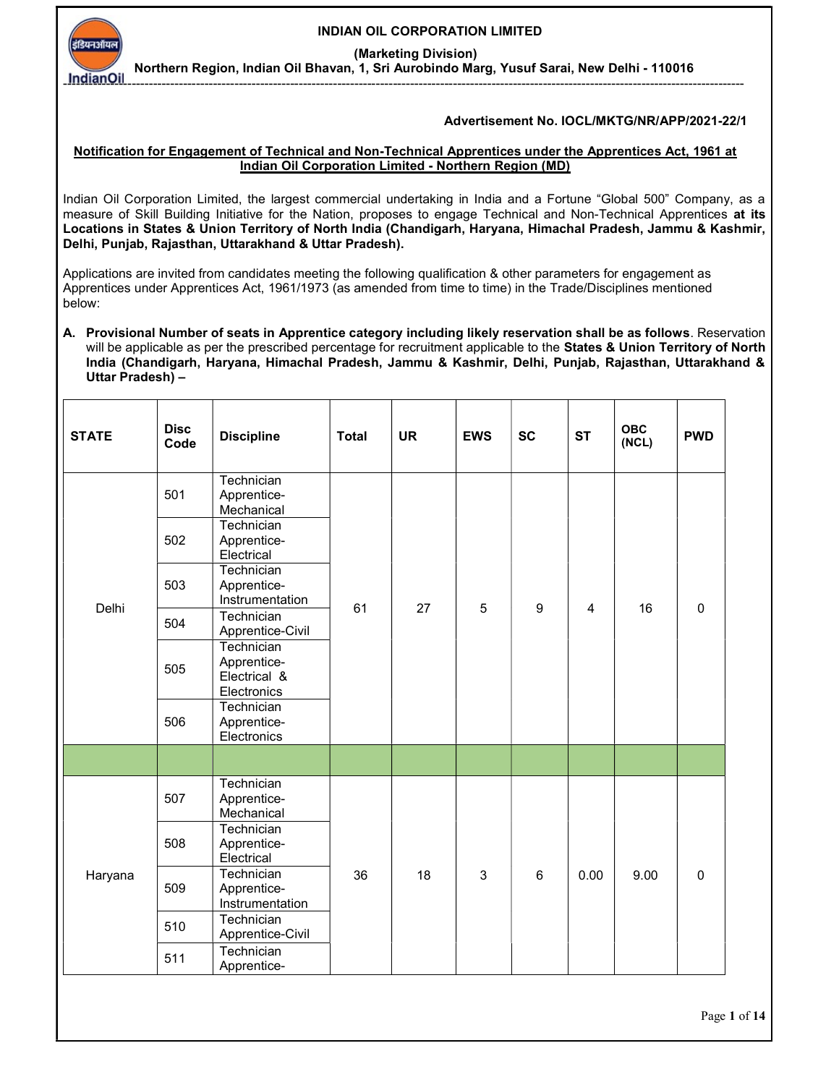INDIAN OIL CORPORATION LIMITED

(Marketing Division)

Northern Region, Indian Oil Bhavan, 1, Sri Aurobindo Marg, Yusuf Sarai, New Delhi - 110016 ---------------------------------------------------------------------------------------------------------------------------------------------------------------

### Advertisement No. IOCL/MKTG/NR/APP/2021-22/1

#### Notification for Engagement of Technical and Non-Technical Apprentices under the Apprentices Act, 1961 at Indian Oil Corporation Limited - Northern Region (MD)

Indian Oil Corporation Limited, the largest commercial undertaking in India and a Fortune "Global 500" Company, as a measure of Skill Building Initiative for the Nation, proposes to engage Technical and Non-Technical Apprentices at its Locations in States & Union Territory of North India (Chandigarh, Haryana, Himachal Pradesh, Jammu & Kashmir, Delhi, Punjab, Rajasthan, Uttarakhand & Uttar Pradesh).

Applications are invited from candidates meeting the following qualification & other parameters for engagement as Apprentices under Apprentices Act, 1961/1973 (as amended from time to time) in the Trade/Disciplines mentioned below:

A. Provisional Number of seats in Apprentice category including likely reservation shall be as follows. Reservation will be applicable as per the prescribed percentage for recruitment applicable to the States & Union Territory of North India (Chandigarh, Haryana, Himachal Pradesh, Jammu & Kashmir, Delhi, Punjab, Rajasthan, Uttarakhand & Uttar Pradesh) –

| <b>STATE</b> | <b>Disc</b><br>Code | <b>Discipline</b>                                        | <b>Total</b> | <b>UR</b> | <b>EWS</b> | <b>SC</b> | <b>ST</b>               | <b>OBC</b><br>(NCL) | <b>PWD</b>  |
|--------------|---------------------|----------------------------------------------------------|--------------|-----------|------------|-----------|-------------------------|---------------------|-------------|
|              | 501                 | Technician<br>Apprentice-<br>Mechanical                  |              |           |            |           |                         | 16                  |             |
|              | 502                 | Technician<br>Apprentice-<br>Electrical                  |              |           |            |           |                         |                     |             |
| Delhi        | 503                 | Technician<br>Apprentice-<br>Instrumentation             | 61           | 27        | 5          | 9         | 4                       |                     | $\mathbf 0$ |
|              | 504                 | Technician<br>Apprentice-Civil                           |              |           |            |           |                         |                     |             |
|              | 505                 | Technician<br>Apprentice-<br>Electrical &<br>Electronics |              |           |            |           |                         |                     |             |
|              | 506                 | Technician<br>Apprentice-<br>Electronics                 |              |           |            |           |                         |                     |             |
|              |                     |                                                          |              |           |            |           |                         |                     |             |
|              | 507                 | Technician<br>Apprentice-<br>Mechanical                  |              |           |            |           | $6\phantom{1}6$<br>0.00 |                     |             |
|              | 508                 | Technician<br>Apprentice-<br>Electrical                  |              |           |            |           |                         |                     |             |
| Haryana      | 509                 | Technician<br>Apprentice-<br>Instrumentation             | 36           | 18        | 3          |           |                         | 9.00                | $\mathbf 0$ |
|              | 510                 | Technician<br>Apprentice-Civil                           |              |           |            |           |                         |                     |             |
|              | 511                 | Technician<br>Apprentice-                                |              |           |            |           |                         |                     |             |

Page 1 of 14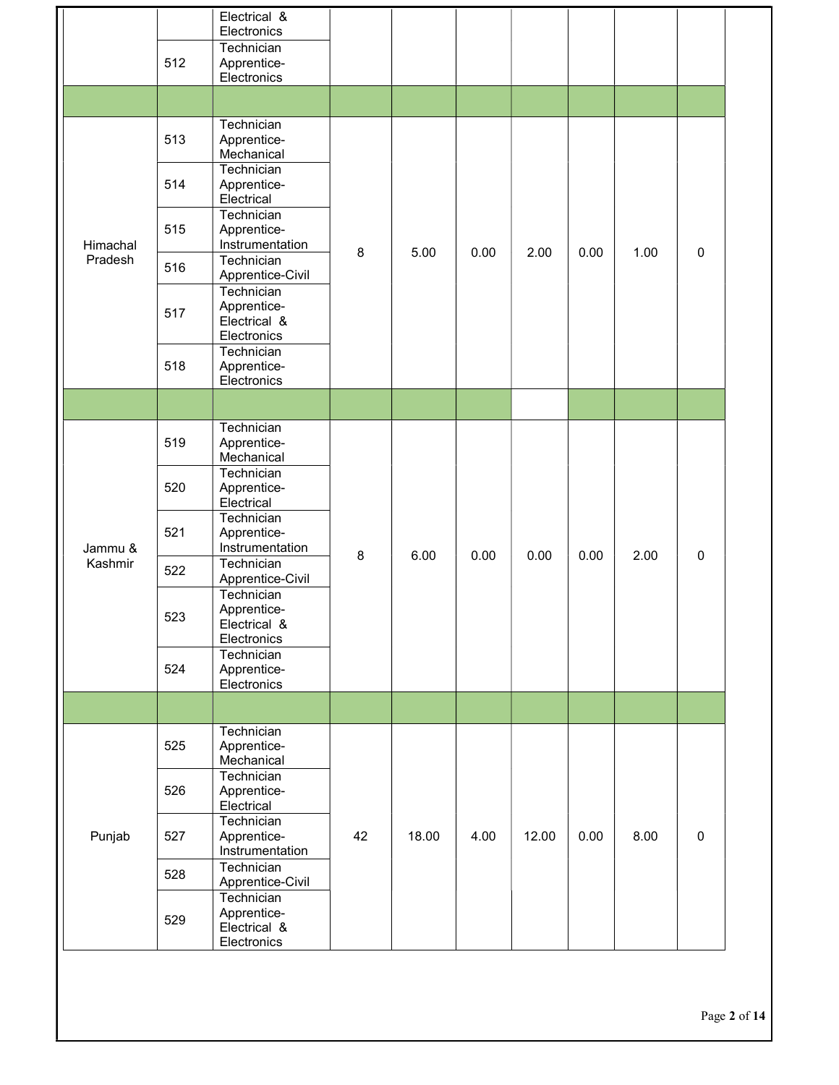|          |     | Electrical &<br>Electronics                              |    |       |      |       |      |      |             |
|----------|-----|----------------------------------------------------------|----|-------|------|-------|------|------|-------------|
|          | 512 | Technician<br>Apprentice-                                |    |       |      |       |      |      |             |
|          |     | Electronics                                              |    |       |      |       |      |      |             |
|          |     |                                                          |    |       |      |       |      |      |             |
|          | 513 | Technician<br>Apprentice-<br>Mechanical                  |    |       |      |       |      |      |             |
|          | 514 | Technician<br>Apprentice-<br>Electrical                  |    |       |      |       |      |      |             |
| Himachal | 515 | Technician<br>Apprentice-<br>Instrumentation             | 8  | 5.00  | 0.00 | 2.00  | 0.00 | 1.00 | $\pmb{0}$   |
| Pradesh  | 516 | Technician<br>Apprentice-Civil                           |    |       |      |       |      |      |             |
|          | 517 | Technician<br>Apprentice-<br>Electrical &<br>Electronics |    |       |      |       |      |      |             |
|          | 518 | Technician<br>Apprentice-<br>Electronics                 |    |       |      |       |      |      |             |
|          |     |                                                          |    |       |      |       |      |      |             |
| Jammu &  | 519 | Technician<br>Apprentice-<br>Mechanical                  | 8  |       |      |       |      |      |             |
|          | 520 | Technician<br>Apprentice-<br>Electrical                  |    |       |      |       |      |      |             |
|          | 521 | Technician<br>Apprentice-<br>Instrumentation             |    | 6.00  | 0.00 | 0.00  | 0.00 | 2.00 | $\mathbf 0$ |
| Kashmir  | 522 | Technician<br>Apprentice-Civil                           |    |       |      |       |      |      |             |
|          | 523 | Technician<br>Apprentice-<br>Electrical &<br>Electronics |    |       |      |       |      |      |             |
|          | 524 | Technician<br>Apprentice-<br>Electronics                 |    |       |      |       |      |      |             |
|          |     |                                                          |    |       |      |       |      |      |             |
|          | 525 | Technician<br>Apprentice-<br>Mechanical                  |    |       |      |       |      |      |             |
|          | 526 | Technician<br>Apprentice-<br>Electrical                  |    |       |      |       |      |      |             |
| Punjab   | 527 | Technician<br>Apprentice-<br>Instrumentation             | 42 | 18.00 | 4.00 | 12.00 | 0.00 | 8.00 | $\pmb{0}$   |
|          | 528 | Technician<br>Apprentice-Civil                           |    |       |      |       |      |      |             |
|          | 529 | Technician<br>Apprentice-<br>Electrical &<br>Electronics |    |       |      |       |      |      |             |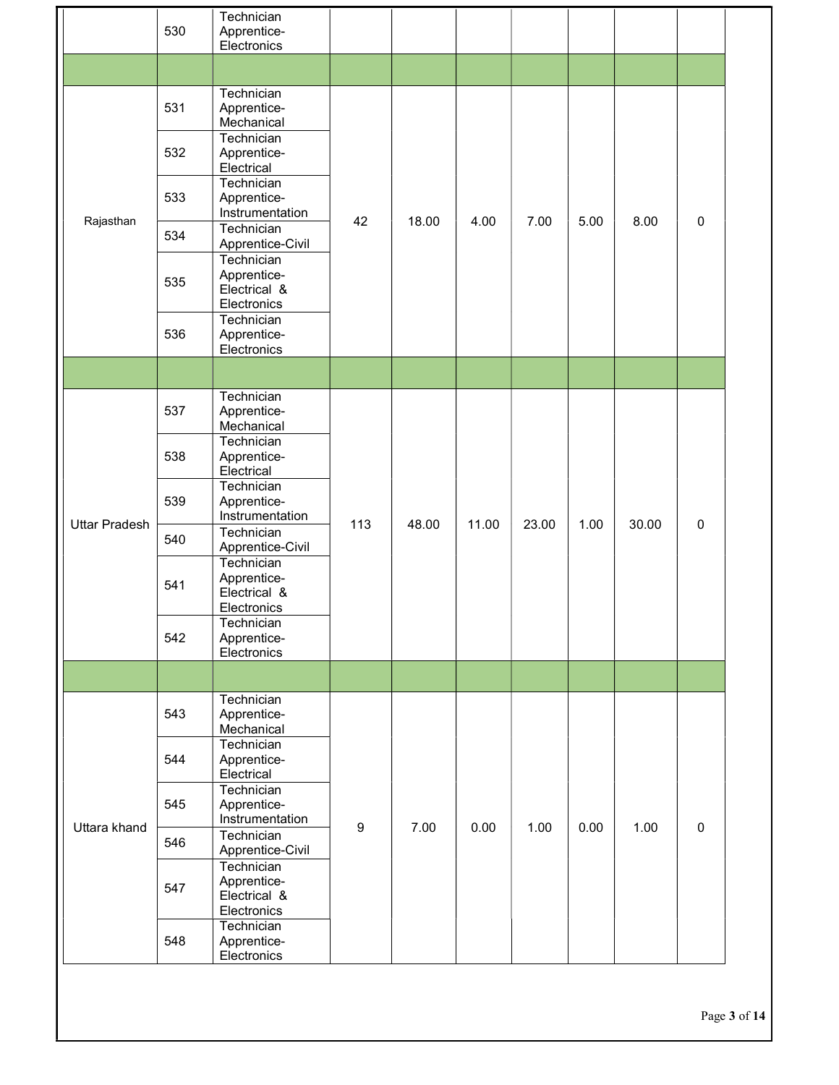|                      |     | Technician                                               |                  |       |       |       |      |       |           |
|----------------------|-----|----------------------------------------------------------|------------------|-------|-------|-------|------|-------|-----------|
|                      | 530 | Apprentice-                                              |                  |       |       |       |      |       |           |
|                      |     | Electronics                                              |                  |       |       |       |      |       |           |
|                      |     |                                                          |                  |       |       |       |      |       |           |
|                      | 531 | Technician<br>Apprentice-                                |                  |       |       |       |      |       |           |
|                      | 532 | Mechanical<br>Technician<br>Apprentice-                  |                  |       |       |       |      |       |           |
|                      |     | Electrical<br>Technician                                 |                  |       |       |       |      |       |           |
| Rajasthan            | 533 | Apprentice-<br>Instrumentation                           | 42               | 18.00 | 4.00  | 7.00  | 5.00 | 8.00  | $\pmb{0}$ |
|                      | 534 | Technician<br>Apprentice-Civil                           |                  |       |       |       |      |       |           |
|                      | 535 | Technician<br>Apprentice-<br>Electrical &<br>Electronics |                  |       |       |       |      |       |           |
|                      | 536 | Technician<br>Apprentice-<br>Electronics                 |                  |       |       |       |      |       |           |
|                      |     |                                                          |                  |       |       |       |      |       |           |
|                      | 537 | Technician<br>Apprentice-<br>Mechanical                  |                  |       |       |       | 1.00 | 30.00 | $\pmb{0}$ |
|                      | 538 | Technician<br>Apprentice-<br>Electrical                  | 113              |       |       |       |      |       |           |
|                      | 539 | Technician<br>Apprentice-<br>Instrumentation             |                  | 48.00 | 11.00 | 23.00 |      |       |           |
| <b>Uttar Pradesh</b> | 540 | Technician<br>Apprentice-Civil                           |                  |       |       |       |      |       |           |
|                      | 541 | Technician<br>Apprentice-<br>Electrical &<br>Electronics |                  |       |       |       |      |       |           |
|                      | 542 | Technician<br>Apprentice-<br>Electronics                 |                  |       |       |       |      |       |           |
|                      |     |                                                          |                  |       |       |       |      |       |           |
|                      | 543 | Technician<br>Apprentice-<br>Mechanical                  |                  |       |       |       |      |       |           |
|                      | 544 | Technician<br>Apprentice-<br>Electrical                  |                  |       |       |       |      |       |           |
| Uttara khand         | 545 | Technician<br>Apprentice-<br>Instrumentation             | $\boldsymbol{9}$ | 7.00  | 0.00  |       |      |       | $\pmb{0}$ |
|                      | 546 | Technician<br>Apprentice-Civil                           |                  |       |       | 1.00  | 0.00 | 1.00  |           |
|                      | 547 | Technician<br>Apprentice-<br>Electrical &<br>Electronics |                  |       |       |       |      |       |           |
|                      | 548 | Technician<br>Apprentice-<br>Electronics                 |                  |       |       |       |      |       |           |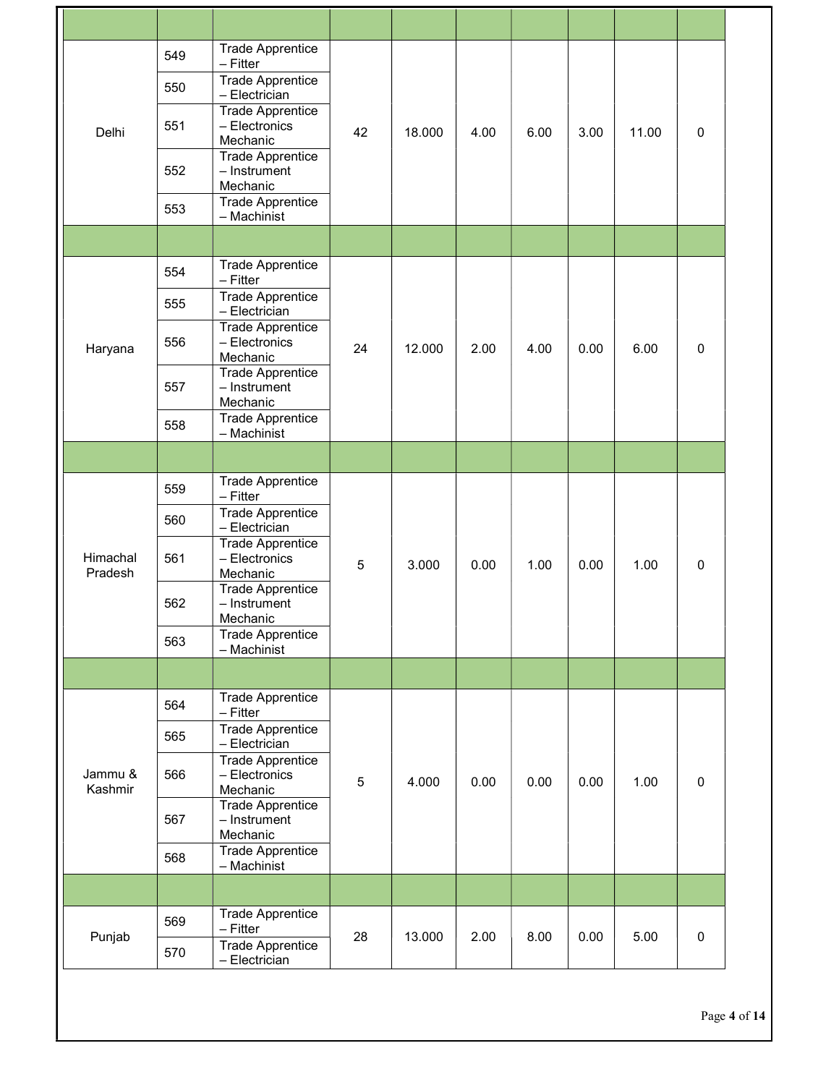|                     | 549 | <b>Trade Apprentice</b><br>$-$ Fitter<br><b>Trade Apprentice</b> |    |        |      |      |      |       |             |
|---------------------|-----|------------------------------------------------------------------|----|--------|------|------|------|-------|-------------|
|                     | 550 | - Electrician<br><b>Trade Apprentice</b>                         |    |        |      |      |      |       |             |
| Delhi               | 551 | - Electronics<br>Mechanic<br><b>Trade Apprentice</b>             | 42 | 18.000 | 4.00 | 6.00 | 3.00 | 11.00 | $\mathbf 0$ |
|                     | 552 | - Instrument<br>Mechanic<br>Trade Apprentice                     |    |        |      |      |      |       |             |
|                     | 553 | - Machinist                                                      |    |        |      |      |      |       |             |
|                     |     |                                                                  |    |        |      |      |      |       |             |
|                     | 554 | <b>Trade Apprentice</b><br>$-$ Fitter                            |    |        |      |      |      |       |             |
|                     | 555 | <b>Trade Apprentice</b><br>- Electrician                         |    |        |      |      |      |       |             |
| Haryana             | 556 | <b>Trade Apprentice</b><br>- Electronics<br>Mechanic             | 24 | 12.000 | 2.00 | 4.00 | 0.00 | 6.00  | $\mathbf 0$ |
|                     | 557 | <b>Trade Apprentice</b><br>- Instrument<br>Mechanic              |    |        |      |      |      |       |             |
|                     | 558 | <b>Trade Apprentice</b><br>- Machinist                           |    |        |      |      |      |       |             |
|                     |     |                                                                  |    |        |      |      |      |       |             |
|                     | 559 | <b>Trade Apprentice</b><br>$-$ Fitter                            |    |        |      |      |      |       |             |
|                     | 560 | <b>Trade Apprentice</b><br>- Electrician                         |    |        |      |      |      |       |             |
| Himachal<br>Pradesh | 561 | <b>Trade Apprentice</b><br>- Electronics<br>Mechanic             | 5  | 3.000  | 0.00 | 1.00 | 0.00 | 1.00  | $\pmb{0}$   |
|                     | 562 | <b>Trade Apprentice</b><br>- Instrument<br>Mechanic              |    |        |      |      |      |       |             |
|                     | 563 | <b>Trade Apprentice</b><br>- Machinist                           |    |        |      |      |      |       |             |
|                     |     |                                                                  |    |        |      |      |      |       |             |
|                     | 564 | <b>Trade Apprentice</b><br>$-$ Fitter                            |    |        |      |      |      |       |             |
|                     | 565 | <b>Trade Apprentice</b><br>- Electrician                         |    |        |      |      | 0.00 | 1.00  |             |
| Jammu &<br>Kashmir  | 566 | <b>Trade Apprentice</b><br>- Electronics<br>Mechanic             | 5  | 4.000  | 0.00 | 0.00 |      |       | $\mathbf 0$ |
|                     | 567 | <b>Trade Apprentice</b><br>- Instrument<br>Mechanic              |    |        |      |      |      |       |             |
|                     | 568 | Trade Apprentice<br>- Machinist                                  |    |        |      |      |      |       |             |
|                     |     |                                                                  |    |        |      |      |      |       |             |
|                     | 569 | <b>Trade Apprentice</b><br>– Fitter                              |    |        |      |      |      |       |             |
| Punjab              | 570 | <b>Trade Apprentice</b><br>- Electrician                         | 28 | 13.000 | 2.00 | 8.00 | 0.00 | 5.00  | $\pmb{0}$   |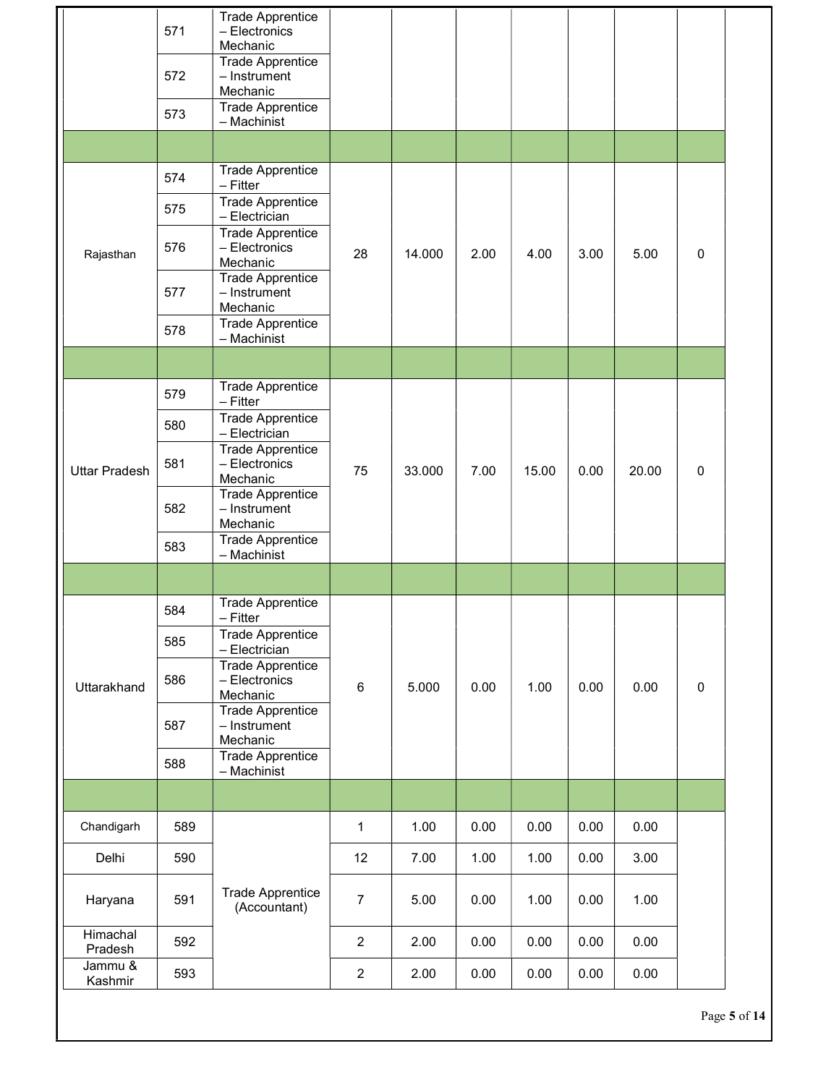|                      | 571<br>572<br>573 | <b>Trade Apprentice</b><br>- Electronics<br>Mechanic<br><b>Trade Apprentice</b><br>- Instrument<br>Mechanic<br>Trade Apprentice<br>- Machinist |                |        |      |       |      |       |           |
|----------------------|-------------------|------------------------------------------------------------------------------------------------------------------------------------------------|----------------|--------|------|-------|------|-------|-----------|
|                      |                   |                                                                                                                                                |                |        |      |       |      |       |           |
|                      | 574               | <b>Trade Apprentice</b><br>- Fitter                                                                                                            |                |        |      |       |      |       |           |
|                      | 575               | <b>Trade Apprentice</b><br>- Electrician                                                                                                       |                |        |      |       |      |       |           |
| Rajasthan            | 576               | <b>Trade Apprentice</b><br>- Electronics<br>Mechanic                                                                                           | 28             | 14.000 | 2.00 | 4.00  | 3.00 | 5.00  | $\pmb{0}$ |
|                      | 577               | <b>Trade Apprentice</b><br>- Instrument<br>Mechanic                                                                                            |                |        |      |       |      |       |           |
|                      | 578               | <b>Trade Apprentice</b><br>- Machinist                                                                                                         |                |        |      |       |      |       |           |
|                      |                   |                                                                                                                                                |                |        |      |       |      |       |           |
|                      | 579               | <b>Trade Apprentice</b><br>- Fitter                                                                                                            |                |        |      |       | 0.00 | 20.00 |           |
| <b>Uttar Pradesh</b> | 580               | <b>Trade Apprentice</b><br>- Electrician                                                                                                       | 75             |        |      |       |      |       |           |
|                      | 581               | <b>Trade Apprentice</b><br>- Electronics<br>Mechanic                                                                                           |                | 33.000 | 7.00 | 15.00 |      |       | $\pmb{0}$ |
|                      | 582               | <b>Trade Apprentice</b><br>- Instrument<br>Mechanic                                                                                            |                |        |      |       |      |       |           |
|                      | 583               | <b>Trade Apprentice</b><br>- Machinist                                                                                                         |                |        |      |       |      |       |           |
|                      |                   |                                                                                                                                                |                |        |      |       |      |       |           |
|                      | 584               | <b>Trade Apprentice</b><br>$-$ Fitter                                                                                                          |                | 5.000  |      |       |      | 0.00  |           |
|                      | 585               | <b>Trade Apprentice</b><br>- Electrician                                                                                                       |                |        |      | 1.00  | 0.00 |       |           |
| Uttarakhand          | 586               | <b>Trade Apprentice</b><br>- Electronics<br>Mechanic                                                                                           | $\,6$          |        | 0.00 |       |      |       | $\pmb{0}$ |
|                      | 587               | <b>Trade Apprentice</b><br>- Instrument<br>Mechanic                                                                                            |                |        |      |       |      |       |           |
|                      | 588               | <b>Trade Apprentice</b><br>- Machinist                                                                                                         |                |        |      |       |      |       |           |
|                      |                   |                                                                                                                                                |                |        |      |       |      |       |           |
| Chandigarh           | 589               |                                                                                                                                                | $\mathbf{1}$   | 1.00   | 0.00 | 0.00  | 0.00 | 0.00  |           |
| Delhi                | 590               |                                                                                                                                                | 12             | 7.00   | 1.00 | 1.00  | 0.00 | 3.00  |           |
| Haryana              | 591               | <b>Trade Apprentice</b><br>(Accountant)                                                                                                        | $\overline{7}$ | 5.00   | 0.00 | 1.00  | 0.00 | 1.00  |           |
| Himachal<br>Pradesh  | 592               |                                                                                                                                                | $\sqrt{2}$     | 2.00   | 0.00 | 0.00  | 0.00 | 0.00  |           |
| Jammu &<br>Kashmir   | 593               |                                                                                                                                                | $\overline{c}$ | 2.00   | 0.00 | 0.00  | 0.00 | 0.00  |           |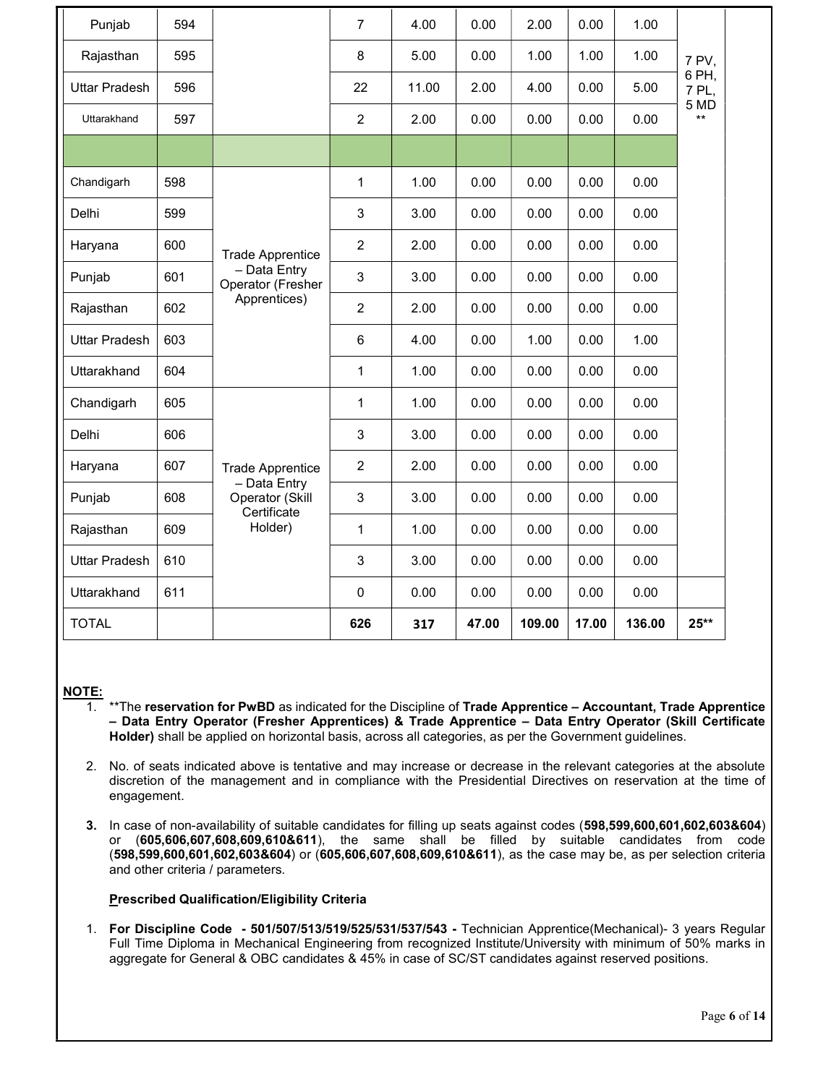| Punjab               | 594 |                                                | $\overline{7}$ | 4.00  | 0.00  | 2.00   | 0.00  | 1.00   |                |  |
|----------------------|-----|------------------------------------------------|----------------|-------|-------|--------|-------|--------|----------------|--|
| Rajasthan            | 595 |                                                | 8              | 5.00  | 0.00  | 1.00   | 1.00  | 1.00   | 7 PV,          |  |
| <b>Uttar Pradesh</b> | 596 |                                                | 22             | 11.00 | 2.00  | 4.00   | 0.00  | 5.00   | 6 PH,<br>7 PL, |  |
| Uttarakhand          | 597 |                                                | $\overline{c}$ | 2.00  | 0.00  | 0.00   | 0.00  | 0.00   | 5 MD<br>$***$  |  |
|                      |     |                                                |                |       |       |        |       |        |                |  |
| Chandigarh           | 598 |                                                | $\mathbf{1}$   | 1.00  | 0.00  | 0.00   | 0.00  | 0.00   |                |  |
| Delhi                | 599 |                                                | $\sqrt{3}$     | 3.00  | 0.00  | 0.00   | 0.00  | 0.00   |                |  |
| Haryana              | 600 | <b>Trade Apprentice</b>                        | $\overline{c}$ | 2.00  | 0.00  | 0.00   | 0.00  | 0.00   |                |  |
| Punjab               | 601 | - Data Entry<br>Operator (Fresher              | $\sqrt{3}$     | 3.00  | 0.00  | 0.00   | 0.00  | 0.00   |                |  |
| Rajasthan            | 602 | Apprentices)                                   | $\overline{2}$ | 2.00  | 0.00  | 0.00   | 0.00  | 0.00   |                |  |
| <b>Uttar Pradesh</b> | 603 |                                                | 6              | 4.00  | 0.00  | 1.00   | 0.00  | 1.00   |                |  |
| Uttarakhand          | 604 |                                                | $\mathbf{1}$   | 1.00  | 0.00  | 0.00   | 0.00  | 0.00   |                |  |
| Chandigarh           | 605 |                                                | $\mathbf{1}$   | 1.00  | 0.00  | 0.00   | 0.00  | 0.00   |                |  |
| Delhi                | 606 |                                                | 3              | 3.00  | 0.00  | 0.00   | 0.00  | 0.00   |                |  |
| Haryana              | 607 | <b>Trade Apprentice</b>                        | $\overline{2}$ | 2.00  | 0.00  | 0.00   | 0.00  | 0.00   |                |  |
| Punjab               | 608 | - Data Entry<br>Operator (Skill<br>Certificate | $\sqrt{3}$     | 3.00  | 0.00  | 0.00   | 0.00  | 0.00   |                |  |
| Rajasthan            | 609 | Holder)                                        | 1              | 1.00  | 0.00  | 0.00   | 0.00  | 0.00   |                |  |
| <b>Uttar Pradesh</b> | 610 |                                                | $\sqrt{3}$     | 3.00  | 0.00  | 0.00   | 0.00  | 0.00   |                |  |
| Uttarakhand          | 611 |                                                | $\mathbf 0$    | 0.00  | 0.00  | 0.00   | 0.00  | 0.00   |                |  |
| <b>TOTAL</b>         |     |                                                | 626            | 317   | 47.00 | 109.00 | 17.00 | 136.00 | $25**$         |  |

### NOTE:

- \*\*The reservation for PwBD as indicated for the Discipline of Trade Apprentice Accountant, Trade Apprentice – Data Entry Operator (Fresher Apprentices) & Trade Apprentice – Data Entry Operator (Skill Certificate Holder) shall be applied on horizontal basis, across all categories, as per the Government guidelines.
- 2. No. of seats indicated above is tentative and may increase or decrease in the relevant categories at the absolute discretion of the management and in compliance with the Presidential Directives on reservation at the time of engagement.
- 3. In case of non-availability of suitable candidates for filling up seats against codes (598,599,600,601,602,603&604) or (605,606,607,608,609,610&611), the same shall be filled by suitable candidates from code (598,599,600,601,602,603&604) or (605,606,607,608,609,610&611), as the case may be, as per selection criteria and other criteria / parameters.

### Prescribed Qualification/Eligibility Criteria

1. For Discipline Code - 501/507/513/519/525/531/537/543 - Technician Apprentice(Mechanical)- 3 years Regular Full Time Diploma in Mechanical Engineering from recognized Institute/University with minimum of 50% marks in aggregate for General & OBC candidates & 45% in case of SC/ST candidates against reserved positions.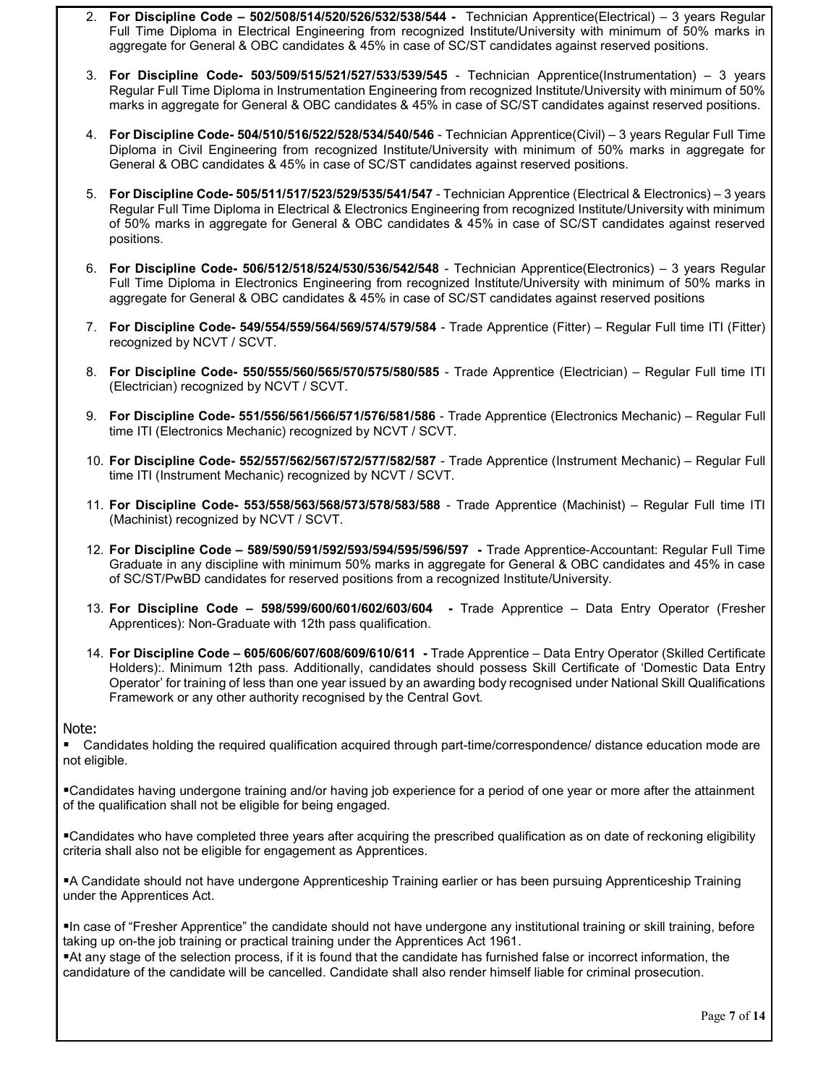- 2. For Discipline Code 502/508/514/520/526/532/538/544 Technician Apprentice(Electrical) 3 years Regular Full Time Diploma in Electrical Engineering from recognized Institute/University with minimum of 50% marks in aggregate for General & OBC candidates & 45% in case of SC/ST candidates against reserved positions.
- 3. For Discipline Code- 503/509/515/521/527/533/539/545 Technician Apprentice(Instrumentation) 3 years Regular Full Time Diploma in Instrumentation Engineering from recognized Institute/University with minimum of 50% marks in aggregate for General & OBC candidates & 45% in case of SC/ST candidates against reserved positions.
- 4. For Discipline Code- 504/510/516/522/528/534/540/546 Technician Apprentice(Civil) 3 years Regular Full Time Diploma in Civil Engineering from recognized Institute/University with minimum of 50% marks in aggregate for General & OBC candidates & 45% in case of SC/ST candidates against reserved positions.
- 5. For Discipline Code- 505/511/517/523/529/535/541/547 Technician Apprentice (Electrical & Electronics) 3 years Regular Full Time Diploma in Electrical & Electronics Engineering from recognized Institute/University with minimum of 50% marks in aggregate for General & OBC candidates & 45% in case of SC/ST candidates against reserved positions.
- 6. For Discipline Code- 506/512/518/524/530/536/542/548 Technician Apprentice(Electronics) 3 years Regular Full Time Diploma in Electronics Engineering from recognized Institute/University with minimum of 50% marks in aggregate for General & OBC candidates & 45% in case of SC/ST candidates against reserved positions
- 7. For Discipline Code- 549/554/559/564/569/574/579/584 Trade Apprentice (Fitter) Regular Full time ITI (Fitter) recognized by NCVT / SCVT.
- 8. For Discipline Code- 550/555/560/565/570/575/580/585 Trade Apprentice (Electrician) Regular Full time ITI (Electrician) recognized by NCVT / SCVT.
- 9. For Discipline Code- 551/556/561/566/571/576/581/586 Trade Apprentice (Electronics Mechanic) Regular Full time ITI (Electronics Mechanic) recognized by NCVT / SCVT.
- 10. For Discipline Code- 552/557/562/567/572/577/582/587 Trade Apprentice (Instrument Mechanic) Regular Full time ITI (Instrument Mechanic) recognized by NCVT / SCVT.
- 11. For Discipline Code- 553/558/563/568/573/578/583/588 Trade Apprentice (Machinist) Regular Full time ITI (Machinist) recognized by NCVT / SCVT.
- 12. For Discipline Code 589/590/591/592/593/594/595/596/597 Trade Apprentice-Accountant: Regular Full Time Graduate in any discipline with minimum 50% marks in aggregate for General & OBC candidates and 45% in case of SC/ST/PwBD candidates for reserved positions from a recognized Institute/University.
- 13. For Discipline Code 598/599/600/601/602/603/604 Trade Apprentice Data Entry Operator (Fresher Apprentices): Non-Graduate with 12th pass qualification.
- 14. For Discipline Code 605/606/607/608/609/610/611 Trade Apprentice Data Entry Operator (Skilled Certificate Holders):. Minimum 12th pass. Additionally, candidates should possess Skill Certificate of 'Domestic Data Entry Operator' for training of less than one year issued by an awarding body recognised under National Skill Qualifications Framework or any other authority recognised by the Central Govt.

#### Note:

Candidates holding the required qualification acquired through part-time/correspondence/ distance education mode are not eligible.

Candidates having undergone training and/or having job experience for a period of one year or more after the attainment of the qualification shall not be eligible for being engaged.

Candidates who have completed three years after acquiring the prescribed qualification as on date of reckoning eligibility criteria shall also not be eligible for engagement as Apprentices.

A Candidate should not have undergone Apprenticeship Training earlier or has been pursuing Apprenticeship Training under the Apprentices Act.

In case of "Fresher Apprentice" the candidate should not have undergone any institutional training or skill training, before taking up on-the job training or practical training under the Apprentices Act 1961.

At any stage of the selection process, if it is found that the candidate has furnished false or incorrect information, the candidature of the candidate will be cancelled. Candidate shall also render himself liable for criminal prosecution.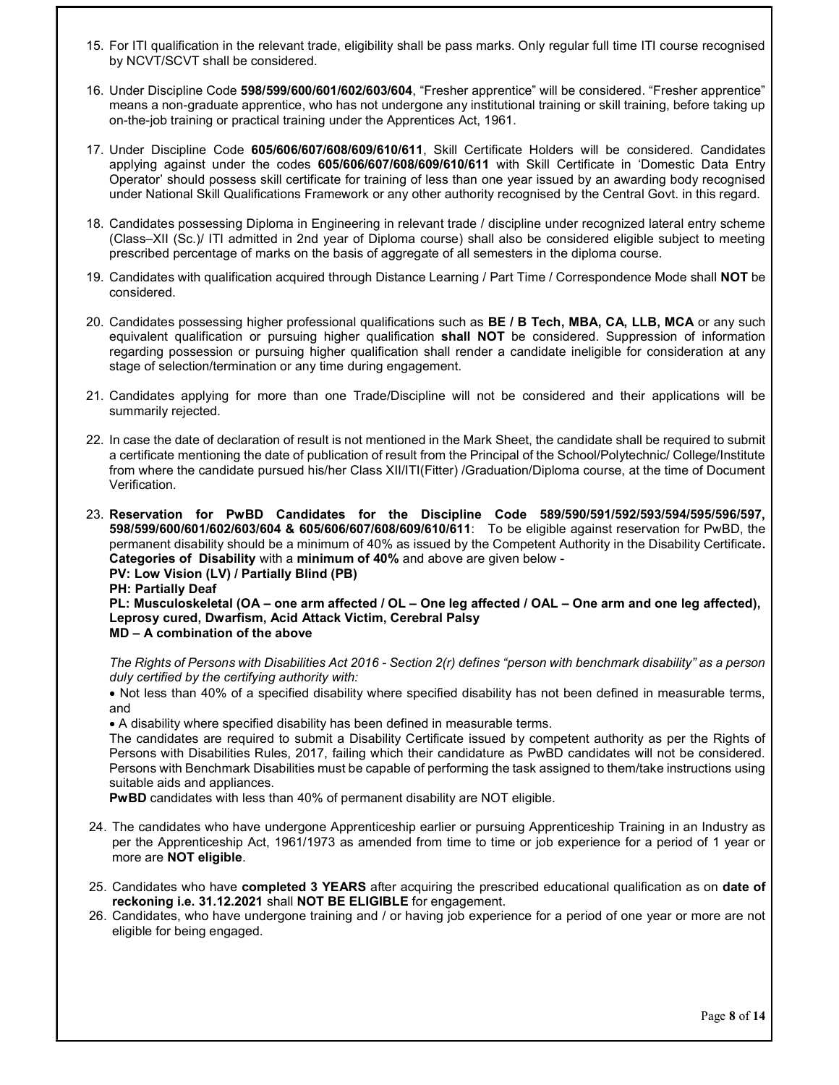- 15. For ITI qualification in the relevant trade, eligibility shall be pass marks. Only regular full time ITI course recognised by NCVT/SCVT shall be considered.
- 16. Under Discipline Code 598/599/600/601/602/603/604, "Fresher apprentice" will be considered. "Fresher apprentice" means a non-graduate apprentice, who has not undergone any institutional training or skill training, before taking up on-the-job training or practical training under the Apprentices Act, 1961.
- 17. Under Discipline Code 605/606/607/608/609/610/611, Skill Certificate Holders will be considered. Candidates applying against under the codes 605/606/607/608/609/610/611 with Skill Certificate in 'Domestic Data Entry Operator' should possess skill certificate for training of less than one year issued by an awarding body recognised under National Skill Qualifications Framework or any other authority recognised by the Central Govt. in this regard.
- 18. Candidates possessing Diploma in Engineering in relevant trade / discipline under recognized lateral entry scheme (Class–XII (Sc.)/ ITI admitted in 2nd year of Diploma course) shall also be considered eligible subject to meeting prescribed percentage of marks on the basis of aggregate of all semesters in the diploma course.
- 19. Candidates with qualification acquired through Distance Learning / Part Time / Correspondence Mode shall NOT be considered.
- 20. Candidates possessing higher professional qualifications such as **BE / B Tech, MBA, CA, LLB, MCA** or any such equivalent qualification or pursuing higher qualification shall NOT be considered. Suppression of information regarding possession or pursuing higher qualification shall render a candidate ineligible for consideration at any stage of selection/termination or any time during engagement.
- 21. Candidates applying for more than one Trade/Discipline will not be considered and their applications will be summarily rejected.
- 22. In case the date of declaration of result is not mentioned in the Mark Sheet, the candidate shall be required to submit a certificate mentioning the date of publication of result from the Principal of the School/Polytechnic/ College/Institute from where the candidate pursued his/her Class XII/ITI(Fitter) /Graduation/Diploma course, at the time of Document Verification.
- 23. Reservation for PwBD Candidates for the Discipline Code 589/590/591/592/593/594/595/596/597, 598/599/600/601/602/603/604 & 605/606/607/608/609/610/611: To be eligible against reservation for PwBD, the permanent disability should be a minimum of 40% as issued by the Competent Authority in the Disability Certificate. Categories of Disability with a minimum of 40% and above are given below -

PV: Low Vision (LV) / Partially Blind (PB)

PH: Partially Deaf

PL: Musculoskeletal (OA – one arm affected / OL – One leg affected / OAL – One arm and one leg affected), Leprosy cured, Dwarfism, Acid Attack Victim, Cerebral Palsy MD – A combination of the above

The Rights of Persons with Disabilities Act 2016 - Section 2(r) defines "person with benchmark disability" as a person duly certified by the certifying authority with:

 Not less than 40% of a specified disability where specified disability has not been defined in measurable terms, and

A disability where specified disability has been defined in measurable terms.

The candidates are required to submit a Disability Certificate issued by competent authority as per the Rights of Persons with Disabilities Rules, 2017, failing which their candidature as PwBD candidates will not be considered. Persons with Benchmark Disabilities must be capable of performing the task assigned to them/take instructions using suitable aids and appliances.

PwBD candidates with less than 40% of permanent disability are NOT eligible.

- 24. The candidates who have undergone Apprenticeship earlier or pursuing Apprenticeship Training in an Industry as per the Apprenticeship Act, 1961/1973 as amended from time to time or job experience for a period of 1 year or more are NOT eligible.
- 25. Candidates who have completed 3 YEARS after acquiring the prescribed educational qualification as on date of reckoning i.e. 31.12.2021 shall NOT BE ELIGIBLE for engagement.
- 26. Candidates, who have undergone training and / or having job experience for a period of one year or more are not eligible for being engaged.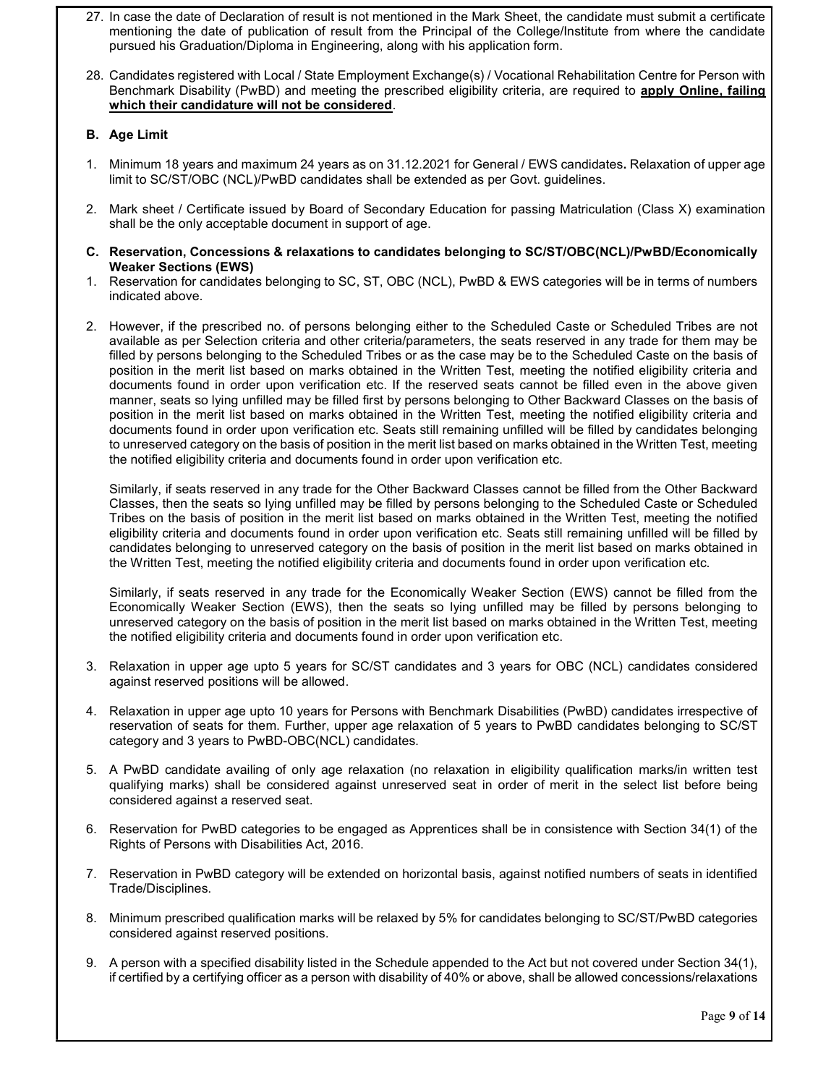- 27. In case the date of Declaration of result is not mentioned in the Mark Sheet, the candidate must submit a certificate mentioning the date of publication of result from the Principal of the College/Institute from where the candidate pursued his Graduation/Diploma in Engineering, along with his application form.
- 28. Candidates registered with Local / State Employment Exchange(s) / Vocational Rehabilitation Centre for Person with Benchmark Disability (PwBD) and meeting the prescribed eligibility criteria, are required to apply Online, failing which their candidature will not be considered.

## B. Age Limit

- 1. Minimum 18 years and maximum 24 years as on 31.12.2021 for General / EWS candidates. Relaxation of upper age limit to SC/ST/OBC (NCL)/PwBD candidates shall be extended as per Govt. guidelines.
- 2. Mark sheet / Certificate issued by Board of Secondary Education for passing Matriculation (Class X) examination shall be the only acceptable document in support of age.
- C. Reservation, Concessions & relaxations to candidates belonging to SC/ST/OBC(NCL)/PwBD/Economically Weaker Sections (EWS)
- 1. Reservation for candidates belonging to SC, ST, OBC (NCL), PwBD & EWS categories will be in terms of numbers indicated above.
- 2. However, if the prescribed no. of persons belonging either to the Scheduled Caste or Scheduled Tribes are not available as per Selection criteria and other criteria/parameters, the seats reserved in any trade for them may be filled by persons belonging to the Scheduled Tribes or as the case may be to the Scheduled Caste on the basis of position in the merit list based on marks obtained in the Written Test, meeting the notified eligibility criteria and documents found in order upon verification etc. If the reserved seats cannot be filled even in the above given manner, seats so lying unfilled may be filled first by persons belonging to Other Backward Classes on the basis of position in the merit list based on marks obtained in the Written Test, meeting the notified eligibility criteria and documents found in order upon verification etc. Seats still remaining unfilled will be filled by candidates belonging to unreserved category on the basis of position in the merit list based on marks obtained in the Written Test, meeting the notified eligibility criteria and documents found in order upon verification etc.

Similarly, if seats reserved in any trade for the Other Backward Classes cannot be filled from the Other Backward Classes, then the seats so lying unfilled may be filled by persons belonging to the Scheduled Caste or Scheduled Tribes on the basis of position in the merit list based on marks obtained in the Written Test, meeting the notified eligibility criteria and documents found in order upon verification etc. Seats still remaining unfilled will be filled by candidates belonging to unreserved category on the basis of position in the merit list based on marks obtained in the Written Test, meeting the notified eligibility criteria and documents found in order upon verification etc.

Similarly, if seats reserved in any trade for the Economically Weaker Section (EWS) cannot be filled from the Economically Weaker Section (EWS), then the seats so lying unfilled may be filled by persons belonging to unreserved category on the basis of position in the merit list based on marks obtained in the Written Test, meeting the notified eligibility criteria and documents found in order upon verification etc.

- 3. Relaxation in upper age upto 5 years for SC/ST candidates and 3 years for OBC (NCL) candidates considered against reserved positions will be allowed.
- 4. Relaxation in upper age upto 10 years for Persons with Benchmark Disabilities (PwBD) candidates irrespective of reservation of seats for them. Further, upper age relaxation of 5 years to PwBD candidates belonging to SC/ST category and 3 years to PwBD-OBC(NCL) candidates.
- 5. A PwBD candidate availing of only age relaxation (no relaxation in eligibility qualification marks/in written test qualifying marks) shall be considered against unreserved seat in order of merit in the select list before being considered against a reserved seat.
- 6. Reservation for PwBD categories to be engaged as Apprentices shall be in consistence with Section 34(1) of the Rights of Persons with Disabilities Act, 2016.
- 7. Reservation in PwBD category will be extended on horizontal basis, against notified numbers of seats in identified Trade/Disciplines.
- 8. Minimum prescribed qualification marks will be relaxed by 5% for candidates belonging to SC/ST/PwBD categories considered against reserved positions.
- 9. A person with a specified disability listed in the Schedule appended to the Act but not covered under Section 34(1), if certified by a certifying officer as a person with disability of 40% or above, shall be allowed concessions/relaxations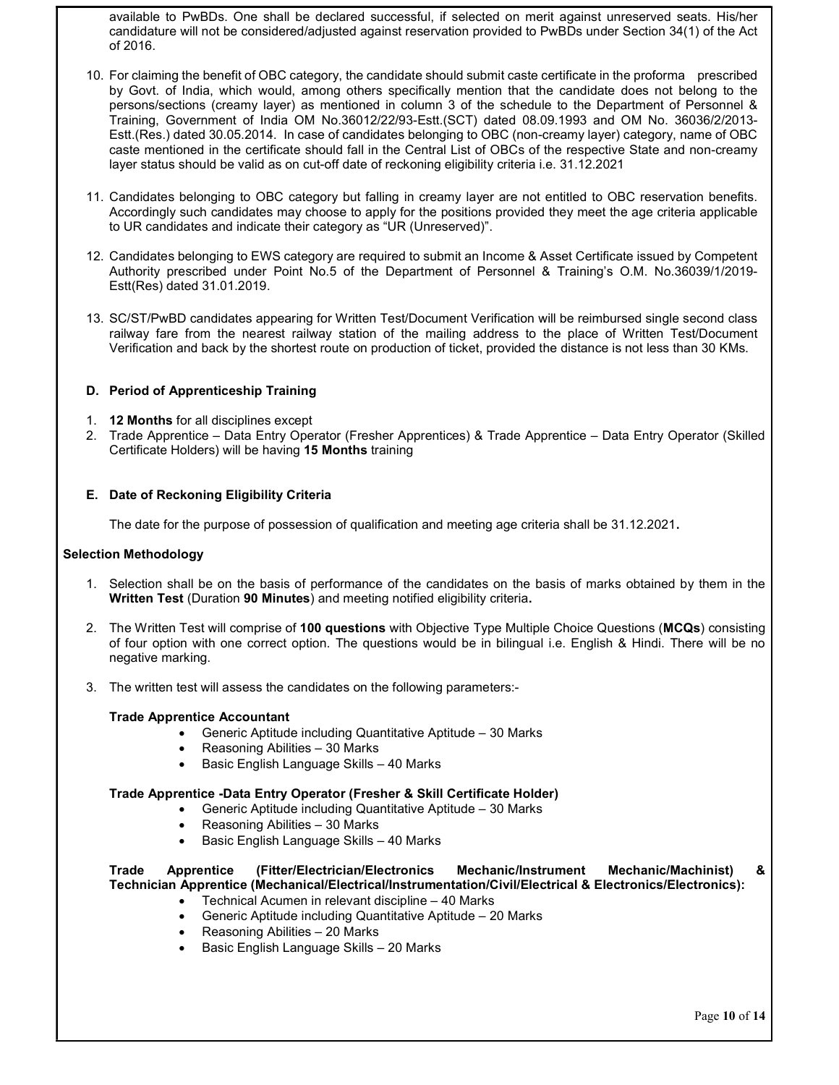available to PwBDs. One shall be declared successful, if selected on merit against unreserved seats. His/her candidature will not be considered/adjusted against reservation provided to PwBDs under Section 34(1) of the Act of 2016.

- 10. For claiming the benefit of OBC category, the candidate should submit caste certificate in the proforma prescribed by Govt. of India, which would, among others specifically mention that the candidate does not belong to the persons/sections (creamy layer) as mentioned in column 3 of the schedule to the Department of Personnel & Training, Government of India OM No.36012/22/93-Estt.(SCT) dated 08.09.1993 and OM No. 36036/2/2013- Estt.(Res.) dated 30.05.2014. In case of candidates belonging to OBC (non-creamy layer) category, name of OBC caste mentioned in the certificate should fall in the Central List of OBCs of the respective State and non-creamy layer status should be valid as on cut-off date of reckoning eligibility criteria i.e. 31.12.2021
- 11. Candidates belonging to OBC category but falling in creamy layer are not entitled to OBC reservation benefits. Accordingly such candidates may choose to apply for the positions provided they meet the age criteria applicable to UR candidates and indicate their category as "UR (Unreserved)".
- 12. Candidates belonging to EWS category are required to submit an Income & Asset Certificate issued by Competent Authority prescribed under Point No.5 of the Department of Personnel & Training's O.M. No.36039/1/2019- Estt(Res) dated 31.01.2019.
- 13. SC/ST/PwBD candidates appearing for Written Test/Document Verification will be reimbursed single second class railway fare from the nearest railway station of the mailing address to the place of Written Test/Document Verification and back by the shortest route on production of ticket, provided the distance is not less than 30 KMs.

### D. Period of Apprenticeship Training

- 1. 12 Months for all disciplines except
- 2. Trade Apprentice Data Entry Operator (Fresher Apprentices) & Trade Apprentice Data Entry Operator (Skilled Certificate Holders) will be having 15 Months training

#### E. Date of Reckoning Eligibility Criteria

The date for the purpose of possession of qualification and meeting age criteria shall be 31.12.2021.

#### Selection Methodology

- 1. Selection shall be on the basis of performance of the candidates on the basis of marks obtained by them in the Written Test (Duration 90 Minutes) and meeting notified eligibility criteria.
- 2. The Written Test will comprise of 100 questions with Objective Type Multiple Choice Questions (MCQs) consisting of four option with one correct option. The questions would be in bilingual i.e. English & Hindi. There will be no negative marking.
- 3. The written test will assess the candidates on the following parameters:-

#### Trade Apprentice Accountant

- Generic Aptitude including Quantitative Aptitude 30 Marks
- Reasoning Abilities 30 Marks
- Basic English Language Skills 40 Marks

#### Trade Apprentice -Data Entry Operator (Fresher & Skill Certificate Holder)

- Generic Aptitude including Quantitative Aptitude 30 Marks
- Reasoning Abilities 30 Marks
- Basic English Language Skills 40 Marks

# Trade Apprentice (Fitter/Electrician/Electronics Mechanic/Instrument Mechanic/Machinist) & Technician Apprentice (Mechanical/Electrical/Instrumentation/Civil/Electrical & Electronics/Electronics):

- Technical Acumen in relevant discipline 40 Marks
- Generic Aptitude including Quantitative Aptitude 20 Marks
- Reasoning Abilities 20 Marks
- Basic English Language Skills 20 Marks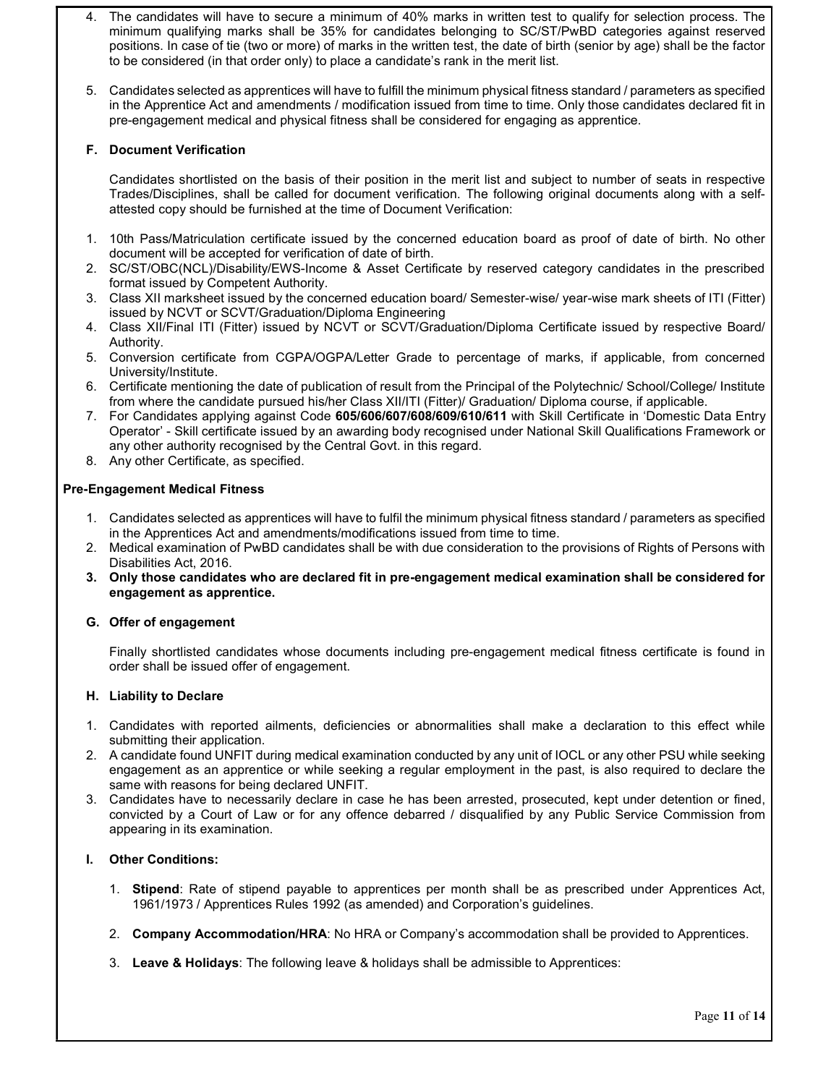- 4. The candidates will have to secure a minimum of 40% marks in written test to qualify for selection process. The minimum qualifying marks shall be 35% for candidates belonging to SC/ST/PwBD categories against reserved positions. In case of tie (two or more) of marks in the written test, the date of birth (senior by age) shall be the factor to be considered (in that order only) to place a candidate's rank in the merit list.
- 5. Candidates selected as apprentices will have to fulfill the minimum physical fitness standard / parameters as specified in the Apprentice Act and amendments / modification issued from time to time. Only those candidates declared fit in pre-engagement medical and physical fitness shall be considered for engaging as apprentice.

### F. Document Verification

Candidates shortlisted on the basis of their position in the merit list and subject to number of seats in respective Trades/Disciplines, shall be called for document verification. The following original documents along with a selfattested copy should be furnished at the time of Document Verification:

- 1. 10th Pass/Matriculation certificate issued by the concerned education board as proof of date of birth. No other document will be accepted for verification of date of birth.
- 2. SC/ST/OBC(NCL)/Disability/EWS-Income & Asset Certificate by reserved category candidates in the prescribed format issued by Competent Authority.
- 3. Class XII marksheet issued by the concerned education board/ Semester-wise/ year-wise mark sheets of ITI (Fitter) issued by NCVT or SCVT/Graduation/Diploma Engineering
- 4. Class XII/Final ITI (Fitter) issued by NCVT or SCVT/Graduation/Diploma Certificate issued by respective Board/ Authority.
- 5. Conversion certificate from CGPA/OGPA/Letter Grade to percentage of marks, if applicable, from concerned University/Institute.
- 6. Certificate mentioning the date of publication of result from the Principal of the Polytechnic/ School/College/ Institute from where the candidate pursued his/her Class XII/ITI (Fitter)/ Graduation/ Diploma course, if applicable.
- 7. For Candidates applying against Code 605/606/607/608/609/610/611 with Skill Certificate in 'Domestic Data Entry Operator' - Skill certificate issued by an awarding body recognised under National Skill Qualifications Framework or any other authority recognised by the Central Govt. in this regard.
- 8. Any other Certificate, as specified.

### Pre-Engagement Medical Fitness

- 1. Candidates selected as apprentices will have to fulfil the minimum physical fitness standard / parameters as specified in the Apprentices Act and amendments/modifications issued from time to time.
- 2. Medical examination of PwBD candidates shall be with due consideration to the provisions of Rights of Persons with Disabilities Act, 2016.
- 3. Only those candidates who are declared fit in pre-engagement medical examination shall be considered for engagement as apprentice.

#### G. Offer of engagement

Finally shortlisted candidates whose documents including pre-engagement medical fitness certificate is found in order shall be issued offer of engagement.

### H. Liability to Declare

- 1. Candidates with reported ailments, deficiencies or abnormalities shall make a declaration to this effect while submitting their application.
- 2. A candidate found UNFIT during medical examination conducted by any unit of IOCL or any other PSU while seeking engagement as an apprentice or while seeking a regular employment in the past, is also required to declare the same with reasons for being declared UNFIT.
- 3. Candidates have to necessarily declare in case he has been arrested, prosecuted, kept under detention or fined, convicted by a Court of Law or for any offence debarred / disqualified by any Public Service Commission from appearing in its examination.

### I. Other Conditions:

- 1. Stipend: Rate of stipend payable to apprentices per month shall be as prescribed under Apprentices Act, 1961/1973 / Apprentices Rules 1992 (as amended) and Corporation's guidelines.
- 2. Company Accommodation/HRA: No HRA or Company's accommodation shall be provided to Apprentices.
- 3. Leave & Holidays: The following leave & holidays shall be admissible to Apprentices: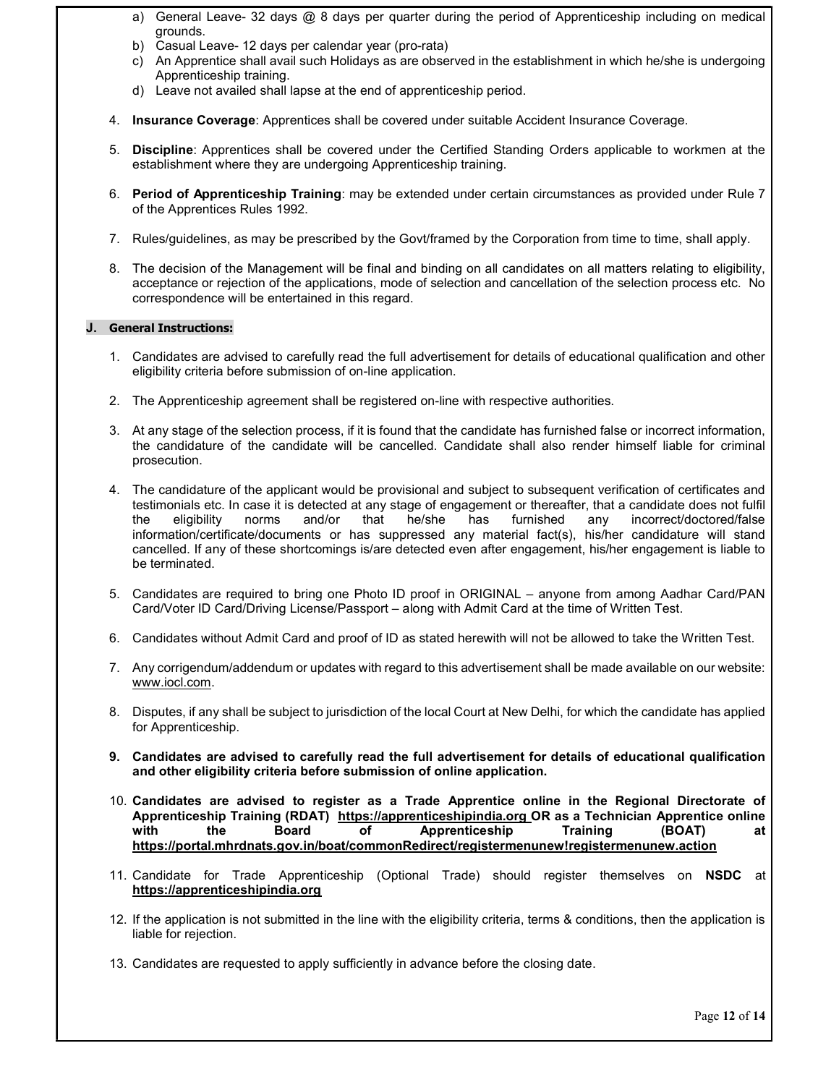- a) General Leave- 32 days @ 8 days per quarter during the period of Apprenticeship including on medical grounds.
- b) Casual Leave- 12 days per calendar year (pro-rata)
- c) An Apprentice shall avail such Holidays as are observed in the establishment in which he/she is undergoing Apprenticeship training.
- d) Leave not availed shall lapse at the end of apprenticeship period.
- 4. Insurance Coverage: Apprentices shall be covered under suitable Accident Insurance Coverage.
- 5. Discipline: Apprentices shall be covered under the Certified Standing Orders applicable to workmen at the establishment where they are undergoing Apprenticeship training.
- 6. Period of Apprenticeship Training: may be extended under certain circumstances as provided under Rule 7 of the Apprentices Rules 1992.
- 7. Rules/guidelines, as may be prescribed by the Govt/framed by the Corporation from time to time, shall apply.
- 8. The decision of the Management will be final and binding on all candidates on all matters relating to eligibility, acceptance or rejection of the applications, mode of selection and cancellation of the selection process etc. No correspondence will be entertained in this regard.

#### J. General Instructions:

- 1. Candidates are advised to carefully read the full advertisement for details of educational qualification and other eligibility criteria before submission of on-line application.
- 2. The Apprenticeship agreement shall be registered on-line with respective authorities.
- 3. At any stage of the selection process, if it is found that the candidate has furnished false or incorrect information, the candidature of the candidate will be cancelled. Candidate shall also render himself liable for criminal prosecution.
- 4. The candidature of the applicant would be provisional and subject to subsequent verification of certificates and testimonials etc. In case it is detected at any stage of engagement or thereafter, that a candidate does not fulfil<br>the eligibility norms and/or that he/she has furnished any incorrect/doctored/false the eligibility norms and/or that he/she has furnished any incorrect/doctored/false information/certificate/documents or has suppressed any material fact(s), his/her candidature will stand cancelled. If any of these shortcomings is/are detected even after engagement, his/her engagement is liable to be terminated.
- 5. Candidates are required to bring one Photo ID proof in ORIGINAL anyone from among Aadhar Card/PAN Card/Voter ID Card/Driving License/Passport – along with Admit Card at the time of Written Test.
- 6. Candidates without Admit Card and proof of ID as stated herewith will not be allowed to take the Written Test.
- 7. Any corrigendum/addendum or updates with regard to this advertisement shall be made available on our website: www.iocl.com.
- 8. Disputes, if any shall be subject to jurisdiction of the local Court at New Delhi, for which the candidate has applied for Apprenticeship.
- 9. Candidates are advised to carefully read the full advertisement for details of educational qualification and other eligibility criteria before submission of online application.
- 10. Candidates are advised to register as a Trade Apprentice online in the Regional Directorate of Apprenticeship Training (RDAT) https://apprenticeshipindia.org OR as a Technician Apprentice online with the Board of Apprenticeship Training (BOAT) at https://portal.mhrdnats.gov.in/boat/commonRedirect/registermenunew!registermenunew.action
- 11. Candidate for Trade Apprenticeship (Optional Trade) should register themselves on NSDC at https://apprenticeshipindia.org
- 12. If the application is not submitted in the line with the eligibility criteria, terms & conditions, then the application is liable for rejection.
- 13. Candidates are requested to apply sufficiently in advance before the closing date.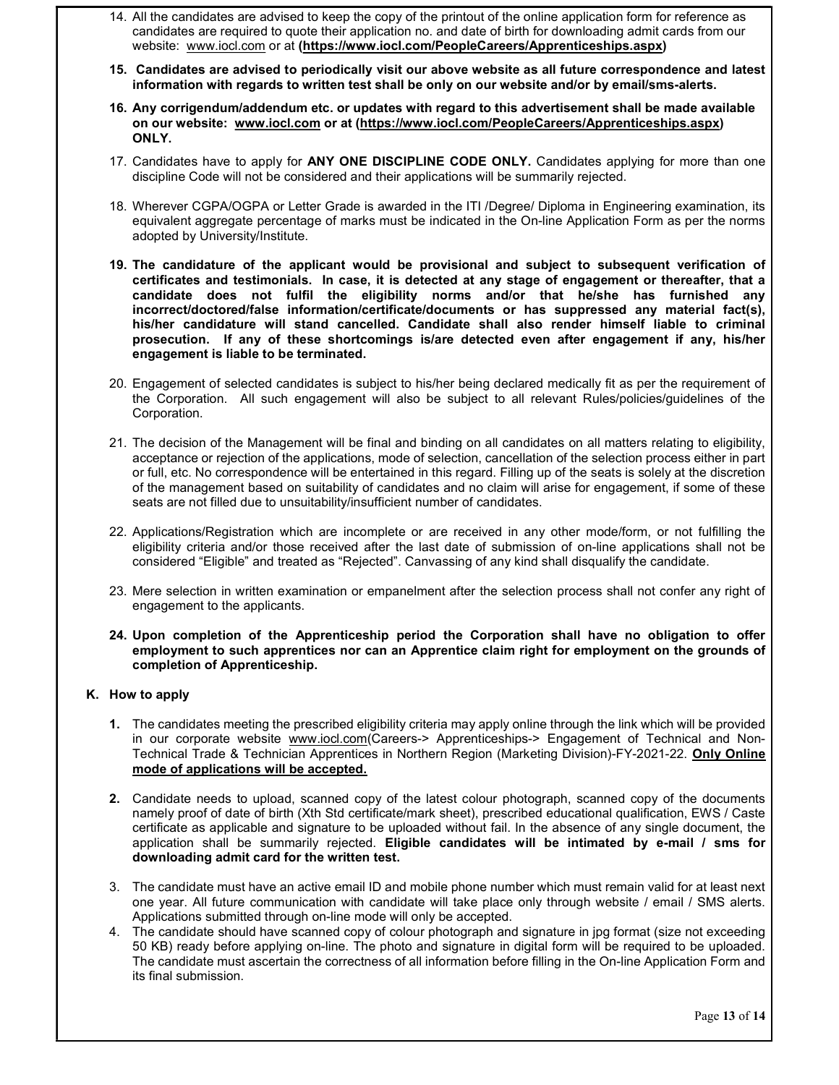- 14. All the candidates are advised to keep the copy of the printout of the online application form for reference as candidates are required to quote their application no. and date of birth for downloading admit cards from our website: www.iocl.com or at (https://www.iocl.com/PeopleCareers/Apprenticeships.aspx)
- 15. Candidates are advised to periodically visit our above website as all future correspondence and latest information with regards to written test shall be only on our website and/or by email/sms-alerts.
- 16. Any corrigendum/addendum etc. or updates with regard to this advertisement shall be made available on our website: www.iocl.com or at (https://www.iocl.com/PeopleCareers/Apprenticeships.aspx) ONLY.
- 17. Candidates have to apply for ANY ONE DISCIPLINE CODE ONLY. Candidates applying for more than one discipline Code will not be considered and their applications will be summarily rejected.
- 18. Wherever CGPA/OGPA or Letter Grade is awarded in the ITI /Degree/ Diploma in Engineering examination, its equivalent aggregate percentage of marks must be indicated in the On-line Application Form as per the norms adopted by University/Institute.
- 19. The candidature of the applicant would be provisional and subject to subsequent verification of certificates and testimonials. In case, it is detected at any stage of engagement or thereafter, that a candidate does not fulfil the eligibility norms and/or that he/she has furnished any incorrect/doctored/false information/certificate/documents or has suppressed any material fact(s), his/her candidature will stand cancelled. Candidate shall also render himself liable to criminal prosecution. If any of these shortcomings is/are detected even after engagement if any, his/her engagement is liable to be terminated.
- 20. Engagement of selected candidates is subject to his/her being declared medically fit as per the requirement of the Corporation. All such engagement will also be subject to all relevant Rules/policies/guidelines of the Corporation.
- 21. The decision of the Management will be final and binding on all candidates on all matters relating to eligibility, acceptance or rejection of the applications, mode of selection, cancellation of the selection process either in part or full, etc. No correspondence will be entertained in this regard. Filling up of the seats is solely at the discretion of the management based on suitability of candidates and no claim will arise for engagement, if some of these seats are not filled due to unsuitability/insufficient number of candidates.
- 22. Applications/Registration which are incomplete or are received in any other mode/form, or not fulfilling the eligibility criteria and/or those received after the last date of submission of on-line applications shall not be considered "Eligible" and treated as "Rejected". Canvassing of any kind shall disqualify the candidate.
- 23. Mere selection in written examination or empanelment after the selection process shall not confer any right of engagement to the applicants.
- 24. Upon completion of the Apprenticeship period the Corporation shall have no obligation to offer employment to such apprentices nor can an Apprentice claim right for employment on the grounds of completion of Apprenticeship.

### K. How to apply

- 1. The candidates meeting the prescribed eligibility criteria may apply online through the link which will be provided in our corporate website www.iocl.com(Careers-> Apprenticeships-> Engagement of Technical and Non-Technical Trade & Technician Apprentices in Northern Region (Marketing Division)-FY-2021-22. **Only Online** mode of applications will be accepted.
- 2. Candidate needs to upload, scanned copy of the latest colour photograph, scanned copy of the documents namely proof of date of birth (Xth Std certificate/mark sheet), prescribed educational qualification, EWS / Caste certificate as applicable and signature to be uploaded without fail. In the absence of any single document, the application shall be summarily rejected. Eligible candidates will be intimated by e-mail / sms for downloading admit card for the written test.
- 3. The candidate must have an active email ID and mobile phone number which must remain valid for at least next one year. All future communication with candidate will take place only through website / email / SMS alerts. Applications submitted through on-line mode will only be accepted.
- 4. The candidate should have scanned copy of colour photograph and signature in jpg format (size not exceeding 50 KB) ready before applying on-line. The photo and signature in digital form will be required to be uploaded. The candidate must ascertain the correctness of all information before filling in the On-line Application Form and its final submission.